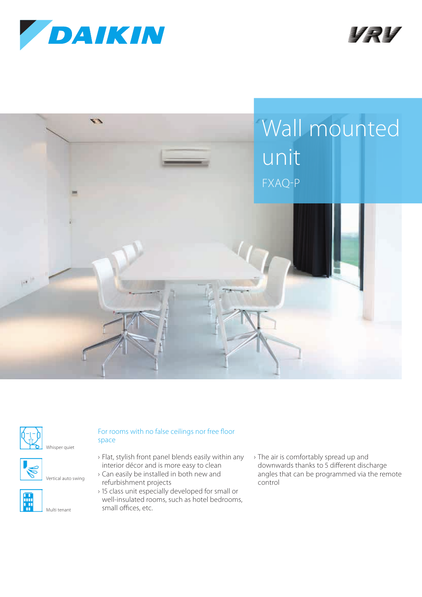











Vertical auto swing



## For rooms with no false ceilings nor free floor

- › Flat, stylish front panel blends easily within any interior décor and is more easy to clean
- › Can easily be installed in both new and refurbishment projects
- › 15 class unit especially developed for small or well-insulated rooms, such as hotel bedrooms, small offices, etc.
- › The air is comfortably spread up and downwards thanks to 5 different discharge angles that can be programmed via the remote control